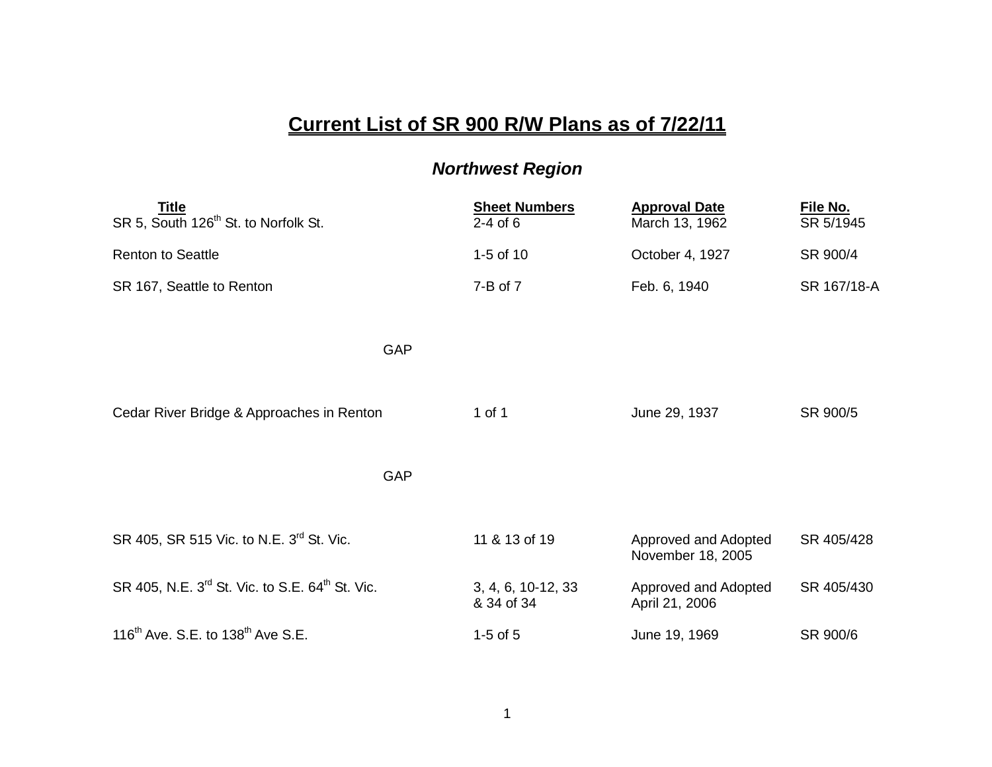## **Current List of SR 900 R/W Plans as of 7/22/11**

## *Northwest Region*

| Title<br>SR 5, South 126 <sup>th</sup> St. to Norfolk St.               | <b>Sheet Numbers</b><br>$2-4$ of 6 | <b>Approval Date</b><br>March 13, 1962    | File No.<br>SR 5/1945 |
|-------------------------------------------------------------------------|------------------------------------|-------------------------------------------|-----------------------|
| <b>Renton to Seattle</b>                                                | 1-5 of 10                          | October 4, 1927                           | SR 900/4              |
| SR 167, Seattle to Renton                                               | $7 - B$ of $7$                     | Feb. 6, 1940                              | SR 167/18-A           |
| GAP                                                                     |                                    |                                           |                       |
| Cedar River Bridge & Approaches in Renton                               | 1 of 1                             | June 29, 1937                             | SR 900/5              |
| <b>GAP</b>                                                              |                                    |                                           |                       |
| SR 405, SR 515 Vic. to N.E. 3 <sup>rd</sup> St. Vic.                    | 11 & 13 of 19                      | Approved and Adopted<br>November 18, 2005 | SR 405/428            |
| SR 405, N.E. 3 <sup>rd</sup> St. Vic. to S.E. 64 <sup>th</sup> St. Vic. | 3, 4, 6, 10-12, 33<br>& 34 of 34   | Approved and Adopted<br>April 21, 2006    | SR 405/430            |
| 116 <sup>th</sup> Ave. S.E. to $138th$ Ave S.E.                         | $1-5$ of $5$                       | June 19, 1969                             | SR 900/6              |